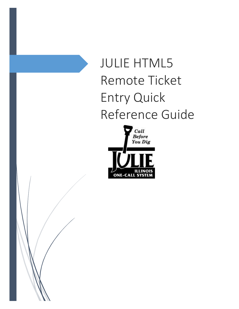# JULIE HTML5 Remote Ticket Entry Quick Reference Guide



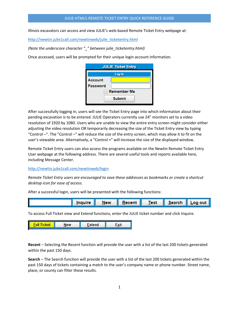Illinois excavators can access and view JULIE's web-based Remote Ticket Entry webpage at:

[http://newtin.julie1call.com/newtinweb/julie\\_ticketentry.html](http://newtin.julie1call.com/newtinweb/julie_ticketentry.html)

*(Note the underscore character "\_" between julie\_ticketentry.html)*

Once accessed, users will be prompted for their unique login account information.

|                 | <b>JULIE Ticket Entry</b> |
|-----------------|---------------------------|
|                 | Log In                    |
| <b>Account</b>  |                           |
| <b>Password</b> |                           |
|                 | <b>Remember Me</b>        |
|                 | <b>Submit</b>             |

After successfully logging in, users will see the Ticket Entry page into which information about their pending excavation is to be entered. JULIE Operators currently use 24" monitors set to a video resolution of 1920 by 1080. Users who are unable to view the entire entry screen might consider either adjusting the video resolution OR temporarily decreasing the size of the Ticket Entry view by typing "Control –". The "Control –" will reduce the size of the entry screen, which may allow it to fit on the user's viewable area. Alternatively, a "Control +" will increase the size of the displayed window.

Remote Ticket Entry users can also access the programs available on the Newtin Remote Ticket Entry User webpage at the following address. There are several useful tools and reports available here, including Message Center.

<http://newtin.julie1call.com/newtinweb/login>

*Remote Ticket Entry users are encouraged to save these addresses as bookmarks or create a shortcut desktop icon for ease of access.* 

After a successful login, users will be presented with the following functions:



To access Full Ticket view and Extend functions, enter the JULIE ticket number and click Inquire.



**Recent** – Selecting the Recent function will provide the user with a list of the last 200 tickets generated within the past 150 days.

**Search** – The Search function will provide the user with a list of the last 200 tickets generated within the past 150 days of tickets containing a match to the user's company name or phone number. Street name, place, or county can filter these results.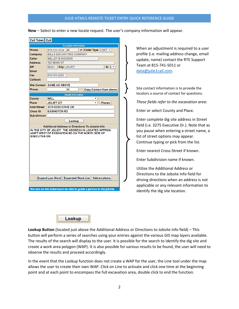**New** – Select to enter a new locate request. The user's company information will appear.



When an adjustment is required to a user profile (i.e. mailing address change, email update, name) contact the RTE Support Team at 815-741-5011 or [data@julie1call.com.](mailto:data@julie1call.com)

Site contact information is to provide the locators a source of contact for questions.

*These fields refer to the excavation area*:

Enter or select County and Place.

Enter complete dig site address in Street field (i.e. 3275 Executive Dr.). Note that as you pause when entering a street name, a list of street options may appear. Continue typing or pick from the list.

Enter nearest Cross-Street if known.

Enter Subdivision name if known.

Utilize the Additional Address or Directions to the Jobsite Info field for driving directions when an address is not applicable or any relevant information to identify the dig site location.



**Lookup Button** (located just above the Additional Address or Directions to Jobsite info field) – This button will perform a series of searches using your entries against the various GIS map layers available. The results of the search will display to the user. It is possible for the search to identify the dig site and create a work area polygon (WAP). It is also possible for various results to be found, the user will need to observe the results and proceed accordingly.

In the event that the Lookup function does not create a WAP for the user, the Line tool under the map allows the user to create their own WAP. Click on Line to activate and click one time at the beginning point and at each point to encompass the full excavation area, double click to end the function.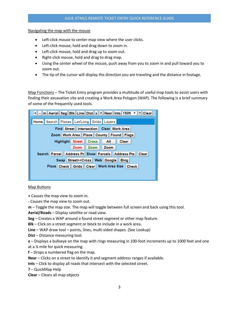Navigating the map with the mouse

- Left-click mouse to center map view where the user clicks.
- Left-click mouse, hold and drag down to zoom in.
- Left-click mouse, hold and drag up to zoom out.
- Right-click mouse, hold and drag to drag map.
- Using the center wheel of the mouse, push away from you to zoom in and pull toward you to zoom out.
- The tip of the cursor will display the direction you are traveling and the distance in footage.

Map Functions – The Ticket Entry program provides a multitude of useful map tools to assist users with finding their excavation site and creating a Work Area Polygon (WAP). The following is a brief summary of some of the frequently used tools.



Map Buttons

**+** Causes the map view to zoom in.

**-** Causes the map view to zoom out.

**m** – Toggle the map size. The map will toggle between full screen and back using this tool.

**Aerial/Roads** – Display satellite or road view.

**Seg** – Creates a WAP around a found street segment or other map feature.

**Blk** – Click on a street segment or block to include in a work area.

**Line** – WAP draw tool – points, lines, multi-sided shapes. (See Lookup)

**Dist** – Distance measuring tool.

**x** – Displays a bullseye on the map with rings measuring in 100-foot increments up to 1000 feet and one at a ¼ mile for quick measuring.

**f** – Drops a numbered flag on the map.

**Near** – Clicks on a street to identify it and segment address ranges if available.

**Ints** – Click to display all roads that intersect with the selected street.

**?** – QuickMap Help

**Clear** – Clears all map objects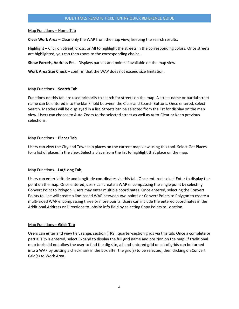### Map Functions – Home Tab

**Clear Work Area** – Clear only the WAP from the map view, keeping the search results.

**Highlight** – Click on Street, Cross, or All to highlight the streets in the corresponding colors. Once streets are highlighted, you can then zoom to the corresponding choice.

**Show Parcels, Address Pts** – Displays parcels and points if available on the map view.

**Work Area Size Check** – confirm that the WAP does not exceed size limitation.

## Map Functions – **Search Tab**

Functions on this tab are used primarily to search for streets on the map. A street name or partial street name can be entered into the blank field between the Clear and Search Buttons. Once entered, select Search. Matches will be displayed in a list. Streets can be selected from the list for display on the map view. Users can choose to Auto-Zoom to the selected street as well as Auto-Clear or Keep previous selections.

#### Map Functions – **Places Tab**

Users can view the City and Township places on the current map view using this tool. Select Get Places for a list of places in the view. Select a place from the list to highlight that place on the map.

## Map Functions – **Lat/Long Tab**

Users can enter latitude and longitude coordinates via this tab. Once entered, select Enter to display the point on the map. Once entered, users can create a WAP encompassing the single point by selecting Convert Point to Polygon. Users may enter multiple coordinates. Once entered, selecting the Convert Points to Line will create a line-based WAP between two points or Convert Points to Polygon to create a multi-sided WAP encompassing three or more points. Users can include the entered coordinates in the Additional Address or Directions to Jobsite info field by selecting Copy Points to Location.

## Map Functions – **Grids Tab**

Users can enter and view tier, range, section (TRS), quarter-section grids via this tab. Once a complete or partial TRS is entered, select Expand to display the full grid name and position on the map. If traditional map tools did not allow the user to find the dig site, a hand-entered grid or set of grids can be turned into a WAP by putting a checkmark in the box after the grid(s) to be selected, then clicking on Convert Grid(s) to Work Area.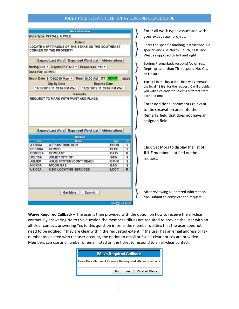#### JULIE HTML5 REMOTE TICKET ENTRY QUICK REFERENCE GUIDE

|                                                           | Work Type INSTALL A POLE                                                           |                            |       |
|-----------------------------------------------------------|------------------------------------------------------------------------------------|----------------------------|-------|
|                                                           | <b>Extent</b>                                                                      |                            |       |
|                                                           | LOCATE A 5FT RADIUS OF THE STAKE ON THE SOUTHEAST<br><b>CORNER OF THE PROPERTY</b> |                            |       |
|                                                           | <b>Expand Last Word</b> Expanded Word List Abbreviations                           |                            |       |
|                                                           | Boring NO v Depth>7FT NO v Premarked YE: v                                         |                            |       |
| Done For COMED                                            |                                                                                    |                            |       |
|                                                           | Begin Date 11/04/2019 Mon v   Time 10:00 AM CT NORM                                |                            | 05:29 |
|                                                           | Dig By Date                                                                        | <b>Expires Date</b>        |       |
|                                                           | 11/13/2019 11:59:59 PM Wed                                                         | 11/27/2019 11:59:59 PM Wed |       |
|                                                           |                                                                                    |                            |       |
|                                                           | <b>Remarks</b>                                                                     |                            |       |
|                                                           | <b>Expand Last Word Expanded Word List Abbreviations</b>                           |                            |       |
|                                                           |                                                                                    |                            |       |
|                                                           | <b>Members</b>                                                                     |                            |       |
| Code                                                      | <b>Name</b>                                                                        | <b>Type</b>                | By    |
|                                                           | <b>ATT/DISTRIBUTION</b>                                                            | PHON                       | s     |
|                                                           | <b>COMED</b>                                                                       | <b>ELEC</b>                | s     |
|                                                           | <b>COMCAST</b>                                                                     | <b>CATV</b>                | G     |
|                                                           | JOLIET CITY OF                                                                     | <b>S&amp;W</b>             | s     |
| <b>CECO0A</b>                                             | <b>JULIE SYSTEM (DON'T READ)</b>                                                   | <b>OTHR</b>                | s     |
|                                                           | <b>NICOR GAS</b>                                                                   | GAS                        | S     |
| ATTD5A<br><b>COMC0A</b><br><b>JOLT0A</b><br><b>JULIEP</b> |                                                                                    |                            |       |
| <b>NICROA</b><br><b>USIC0A</b>                            | <b>USIC LOCATING SERVICES</b>                                                      | <b>LOCT</b>                | R     |
|                                                           |                                                                                    |                            |       |
|                                                           | <b>Submit</b><br><b>Get Mbrs</b>                                                   |                            |       |

Enter all work types associated with your excavation project.

Enter the specific marking instructions. Be specific and use North, South, East, and West as opposed to left and right.

Boring/Premarked: respond No or Yes. Depth greater than 7ft: respond No, Yes, or Unsure.

Typing L in the begin date field will generate the legal 48 hrs. for the request, C will provide you with a calendar to select a different start date and time.

Enter additional comments relevant to the excavation area into the Remarks field that does not have an assigned field.

Click Get Mbrs to display the list of JULIE members notified on the request.

After reviewing all entered information click submit to complete the request.

**Waive Required Callback** – The user is then provided with the option on how to receive the all-clear contact. By answering No to this question the member utilities are required to provide the user with an all-clear contact, answering Yes to this question informs the member utilities that the user does not need to be notified if they are clear within the requested extent. If the user has an email address or fax number associated with the user account, the option to email or fax all-clear notices are provided. Members can use any number or email listed on the ticket to respond to an all-clear contact.